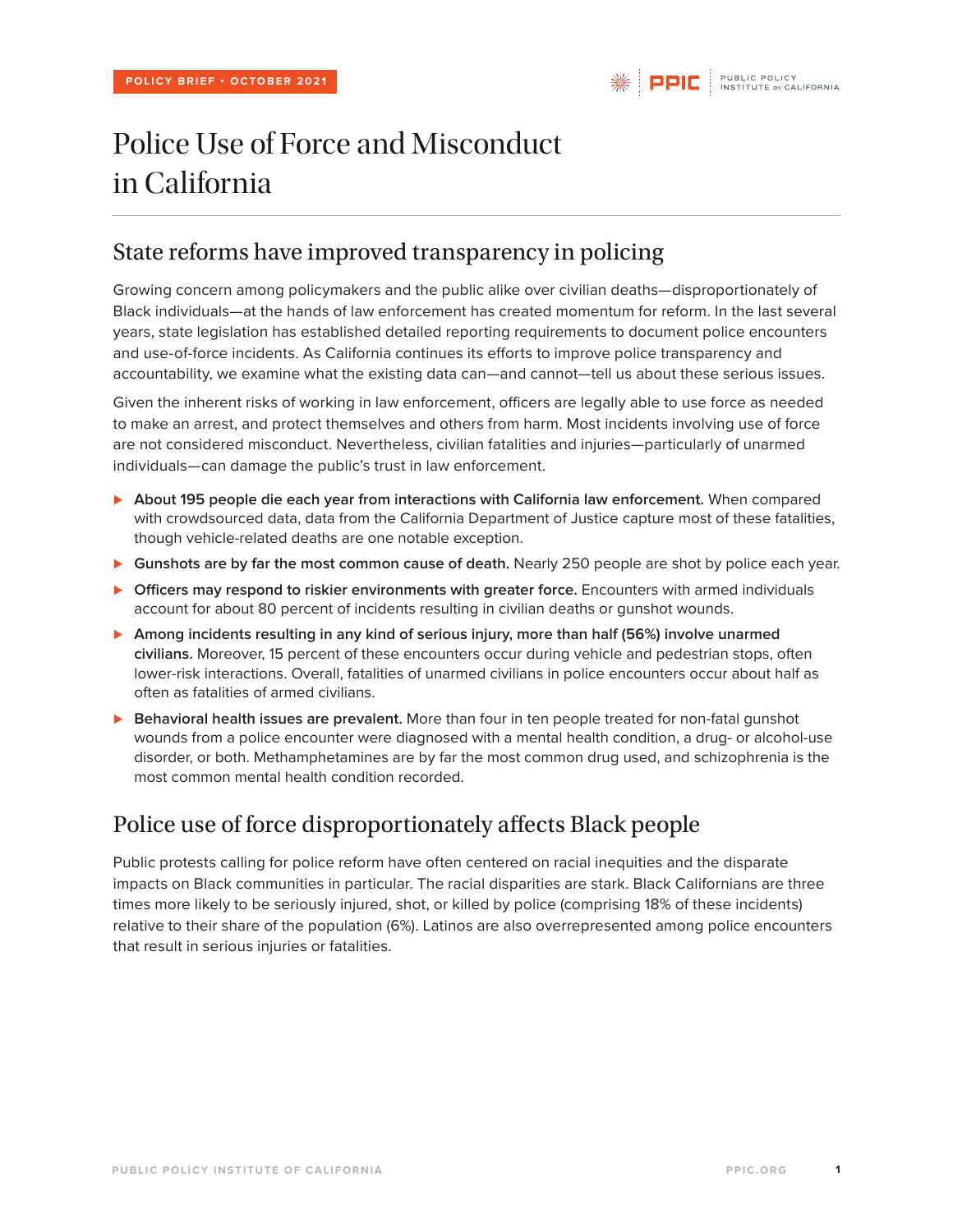# Police Use of Force and Misconduct in California

### State reforms have improved transparency in policing

Growing concern among policymakers and the public alike over civilian deaths—disproportionately of Black individuals—at the hands of law enforcement has created momentum for reform. In the last several years, state legislation has established detailed reporting requirements to document police encounters and use-of-force incidents. As California continues its efforts to improve police transparency and accountability, we examine what the existing data can—and cannot—tell us about these serious issues.

Given the inherent risks of working in law enforcement, officers are legally able to use force as needed to make an arrest, and protect themselves and others from harm. Most incidents involving use of force are not considered misconduct. Nevertheless, civilian fatalities and injuries—particularly of unarmed individuals—can damage the public's trust in law enforcement.

- *⊲* **About 195 people die each year from interactions with California law enforcement.** When compared with crowdsourced data, data from the California Department of Justice capture most of these fatalities, though vehicle-related deaths are one notable exception.
- *⊲* **Gunshots are by far the most common cause of death.** Nearly 250 people are shot by police each year.
- *⊲* **Officers may respond to riskier environments with greater force.** Encounters with armed individuals account for about 80 percent of incidents resulting in civilian deaths or gunshot wounds.
- *⊲* **Among incidents resulting in any kind of serious injury, more than half (56%) involve unarmed civilians.** Moreover, 15 percent of these encounters occur during vehicle and pedestrian stops, often lower-risk interactions. Overall, fatalities of unarmed civilians in police encounters occur about half as often as fatalities of armed civilians.
- *⊲* **Behavioral health issues are prevalent.** More than four in ten people treated for non-fatal gunshot wounds from a police encounter were diagnosed with a mental health condition, a drug- or alcohol-use disorder, or both. Methamphetamines are by far the most common drug used, and schizophrenia is the most common mental health condition recorded.

# Police use of force disproportionately affects Black people

Public protests calling for police reform have often centered on racial inequities and the disparate impacts on Black communities in particular. The racial disparities are stark. Black Californians are three times more likely to be seriously injured, shot, or killed by police (comprising 18% of these incidents) relative to their share of the population (6%). Latinos are also overrepresented among police encounters that result in serious injuries or fatalities.